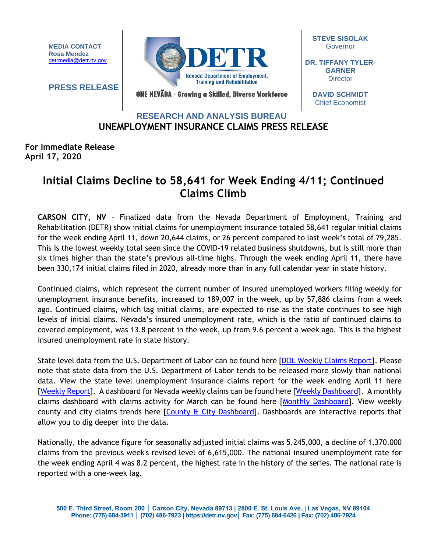**MEDIA CONTACT Rosa Mendez** [detrmedia@detr.nv.gov](mailto:detrmedia@detr.nv.gov)

**PRESS RELEASE**



**STEVE SISOLAK Governor** 

**DR. TIFFANY TYLER-GARNER Director** 

ONE NEVĂDA - Growing a Skilled, Diverse Workforce

**DAVID SCHMIDT** Chief Economist

## **RESEARCH AND ANALYSIS BUREAU UNEMPLOYMENT INSURANCE CLAIMS PRESS RELEASE**

## **For Immediate Release April 17, 2020**

## **Initial Claims Decline to 58,641 for Week Ending 4/11; Continued Claims Climb**

**CARSON CITY, NV** – Finalized data from the Nevada Department of Employment, Training and Rehabilitation (DETR) show initial claims for unemployment insurance totaled 58,641 regular initial claims for the week ending April 11, down 20,644 claims, or 26 percent compared to last week's total of 79,285. This is the lowest weekly total seen since the COVID-19 related business shutdowns, but is still more than six times higher than the state's previous all-time highs. Through the week ending April 11, there have been 330,174 initial claims filed in 2020, already more than in any full calendar year in state history.

Continued claims, which represent the current number of insured unemployed workers filing weekly for unemployment insurance benefits, increased to 189,007 in the week, up by 57,886 claims from a week ago. Continued claims, which lag initial claims, are expected to rise as the state continues to see high levels of initial claims. Nevada's insured unemployment rate, which is the ratio of continued claims to covered employment, was 13.8 percent in the week, up from 9.6 percent a week ago. This is the highest insured unemployment rate in state history.

State level data from the U.S. Department of Labor can be found here [\[DOL Weekly Claims Report\]](https://oui.doleta.gov/unemploy/claims_arch.asp). Please note that state data from the U.S. Department of Labor tends to be released more slowly than national data. View the state level unemployment insurance claims report for the week ending April 11 here [\[Weekly Report\]](http://nvlmi.mt.gov/Portals/197/UI%20Monthly%20Claims%20Press%20Release/Dashboards/State%20of%20Nevada%20UI%20Weekly%20Filing%20Report.pdf). A dashboard for Nevada weekly claims can be found here [\[Weekly Dashboard\]](http://nvlmi.mt.gov/Portals/197/UI%20Monthly%20Claims%20Press%20Release/Dashboards/UIWeeklyDashboard.html). A monthly claims dashboard with claims activity for March can be found here [\[Monthly Dashboard\]](http://nvlmi.mt.gov/Portals/197/UI%20Monthly%20Claims%20Press%20Release/Dashboards/UIMonthlyDashboard.html). View weekly county and city claims trends here  $[Country & City Dashboard]$ . Dashboards are interactive reports that allow you to dig deeper into the data.

Nationally, the advance figure for seasonally adjusted initial claims was 5,245,000, a decline of 1,370,000 claims from the previous week's revised level of 6,615,000. The national insured unemployment rate for the week ending April 4 was 8.2 percent, the highest rate in the history of the series. The national rate is reported with a one-week lag.